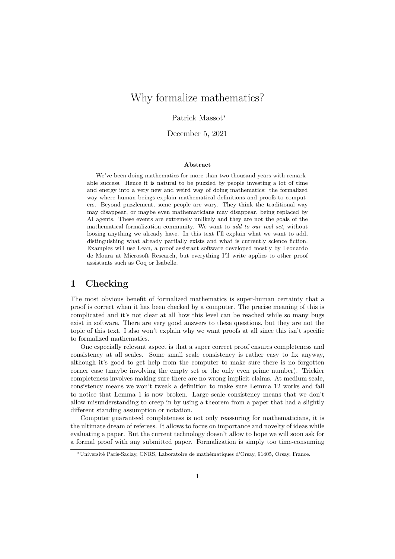# Why formalize mathematics?

#### Patrick Massot<sup>∗</sup>

December 5, 2021

#### **Abstract**

We've been doing mathematics for more than two thousand years with remarkable success. Hence it is natural to be puzzled by people investing a lot of time and energy into a very new and weird way of doing mathematics: the formalized way where human beings explain mathematical definitions and proofs to computers. Beyond puzzlement, some people are wary. They think the traditional way may disappear, or maybe even mathematicians may disappear, being replaced by AI agents. These events are extremely unlikely and they are not the goals of the mathematical formalization community. We want to *add to our tool set*, without loosing anything we already have. In this text I'll explain what we want to add, distinguishing what already partially exists and what is currently science fiction. Examples will use Lean, a proof assistant software developed mostly by Leonardo de Moura at Microsoft Research, but everything I'll write applies to other proof assistants such as Coq or Isabelle.

### **1 Checking**

The most obvious benefit of formalized mathematics is super-human certainty that a proof is correct when it has been checked by a computer. The precise meaning of this is complicated and it's not clear at all how this level can be reached while so many bugs exist in software. There are very good answers to these questions, but they are not the topic of this text. I also won't explain why we want proofs at all since this isn't specific to formalized mathematics.

One especially relevant aspect is that a super correct proof ensures completeness and consistency at all scales. Some small scale consistency is rather easy to fix anyway, although it's good to get help from the computer to make sure there is no forgotten corner case (maybe involving the empty set or the only even prime number). Trickier completeness involves making sure there are no wrong implicit claims. At medium scale, consistency means we won't tweak a definition to make sure Lemma 12 works and fail to notice that Lemma 1 is now broken. Large scale consistency means that we don't allow misunderstanding to creep in by using a theorem from a paper that had a slightly different standing assumption or notation.

Computer guaranteed completeness is not only reassuring for mathematicians, it is the ultimate dream of referees. It allows to focus on importance and novelty of ideas while evaluating a paper. But the current technology doesn't allow to hope we will soon ask for a formal proof with any submitted paper. Formalization is simply too time-consuming

<sup>∗</sup>Université Paris-Saclay, CNRS, Laboratoire de mathématiques d'Orsay, 91405, Orsay, France.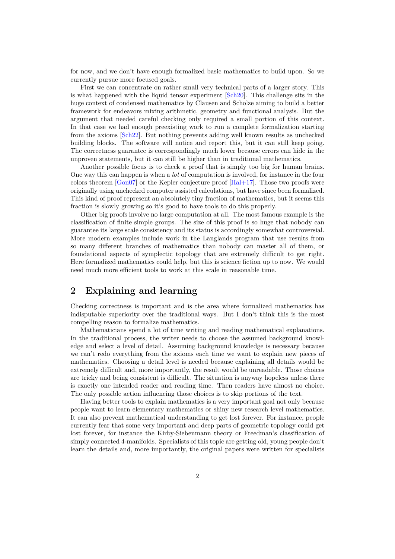<span id="page-1-0"></span>for now, and we don't have enough formalized basic mathematics to build upon. So we currently pursue more focused goals.

First we can concentrate on rather small very technical parts of a larger story. This is what happened with the liquid tensor experiment [Sch20]. This challenge sits in the huge context of condensed mathematics by Clausen and Scholze aiming to build a better framework for endeavors mixing arithmetic, geometry and functional analysis. But the argument that needed careful checking only required a small portion of this context. In that case we had enough preexisting work to run [a com](#page-9-0)plete formalization starting from the axioms [Sch22]. But nothing prevents adding well known results as unchecked building blocks. The software will notice and report this, but it can still keep going. The correctness guarantee is correspondingly much lower because errors can hide in the unproven statements, but it can still be higher than in traditional mathematics.

Another possi[ble foc](#page-9-1)us is to check a proof that is simply too big for human brains. One way this can happen is when a *lot* of computation is involved, for instance in the four colors theorem  $[Gon07]$  or the Kepler conjecture proof  $[Hal+17]$ . Those two proofs were originally using unchecked computer assisted calculations, but have since been formalized. This kind of proof represent an absolutely tiny fraction of mathematics, but it seems this fraction is slowly growing so it's good to have tools to do this properly.

Other big pr[oofs inv](#page-8-0)olve no large computation at all. [The mo](#page-8-1)st famous example is the classification of finite simple groups. The size of this proof is so huge that nobody can guarantee its large scale consistency and its status is accordingly somewhat controversial. More modern examples include work in the Langlands program that use results from so many different branches of mathematics than nobody can master all of them, or foundational aspects of symplectic topology that are extremely difficult to get right. Here formalized mathematics could help, but this is science fiction up to now. We would need much more efficient tools to work at this scale in reasonable time.

### **2 Explaining and learning**

Checking correctness is important and is the area where formalized mathematics has indisputable superiority over the traditional ways. But I don't think this is the most compelling reason to formalize mathematics.

Mathematicians spend a lot of time writing and reading mathematical explanations. In the traditional process, the writer needs to choose the assumed background knowledge and select a level of detail. Assuming background knowledge is necessary because we can't redo everything from the axioms each time we want to explain new pieces of mathematics. Choosing a detail level is needed because explaining all details would be extremely difficult and, more importantly, the result would be unreadable. Those choices are tricky and being consistent is difficult. The situation is anyway hopeless unless there is exactly one intended reader and reading time. Then readers have almost no choice. The only possible action influencing those choices is to skip portions of the text.

Having better tools to explain mathematics is a very important goal not only because people want to learn elementary mathematics or shiny new research level mathematics. It can also prevent mathematical understanding to get lost forever. For instance, people currently fear that some very important and deep parts of geometric topology could get lost forever, for instance the Kirby-Siebenmann theory or Freedman's classification of simply connected 4-manifolds. Specialists of this topic are getting old, young people don't learn the details and, more importantly, the original papers were written for specialists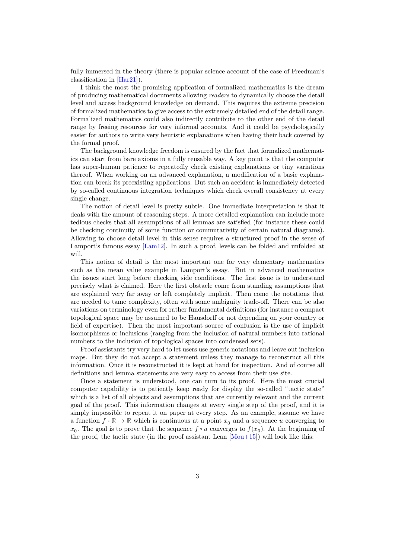<span id="page-2-0"></span>fully immersed in the theory (there is popular science account of the case of Freedman's classification in [Har21]).

I think the most the promising application of formalized mathematics is the dream of producing mathematical documents allowing *readers* to dynamically choose the detail level and access background knowledge on demand. This requires the extreme precision of formalized ma[themat](#page-8-2)ics to give access to the extremely detailed end of the detail range. Formalized mathematics could also indirectly contribute to the other end of the detail range by freeing resources for very informal accounts. And it could be psychologically easier for authors to write very heuristic explanations when having their back covered by the formal proof.

The background knowledge freedom is ensured by the fact that formalized mathematics can start from bare axioms in a fully reusable way. A key point is that the computer has super-human patience to repeatedly check existing explanations or tiny variations thereof. When working on an advanced explanation, a modification of a basic explanation can break its preexisting applications. But such an accident is immediately detected by so-called continuous integration techniques which check overall consistency at every single change.

The notion of detail level is pretty subtle. One immediate interpretation is that it deals with the amount of reasoning steps. A more detailed explanation can include more tedious checks that all assumptions of all lemmas are satisfied (for instance these could be checking continuity of some function or commutativity of certain natural diagrams). Allowing to choose detail level in this sense requires a structured proof in the sense of Lamport's famous essay [Lam12]. In such a proof, levels can be folded and unfolded at will.

This notion of detail is the most important one for very elementary mathematics such as the mean value example in Lamport's essay. But in advanced mathematics the issues start long bef[ore chec](#page-9-2)king side conditions. The first issue is to understand precisely what is claimed. Here the first obstacle come from standing assumptions that are explained very far away or left completely implicit. Then come the notations that are needed to tame complexity, often with some ambiguity trade-off. There can be also variations on terminology even for rather fundamental definitions (for instance a compact topological space may be assumed to be Hausdorff or not depending on your country or field of expertise). Then the most important source of confusion is the use of implicit isomorphisms or inclusions (ranging from the inclusion of natural numbers into rational numbers to the inclusion of topological spaces into condensed sets).

Proof assistants try very hard to let users use generic notations and leave out inclusion maps. But they do not accept a statement unless they manage to reconstruct all this information. Once it is reconstructed it is kept at hand for inspection. And of course all definitions and lemma statements are very easy to access from their use site.

Once a statement is understood, one can turn to its proof. Here the most crucial computer capability is to patiently keep ready for display the so-called "tactic state" which is a list of all objects and assumptions that are currently relevant and the current goal of the proof. This information changes at every single step of the proof, and it is simply impossible to repeat it on paper at every step. As an example, assume we have a function  $f : \mathbb{R} \to \mathbb{R}$  which is continuous at a point  $x_0$  and a sequence u converging to  $x_0$ . The goal is to prove that the sequence  $f \circ u$  converges to  $f(x_0)$ . At the beginning of the proof, the tactic state (in the proof assistant Lean  $\text{[Mou+15]}$ ) will look like this: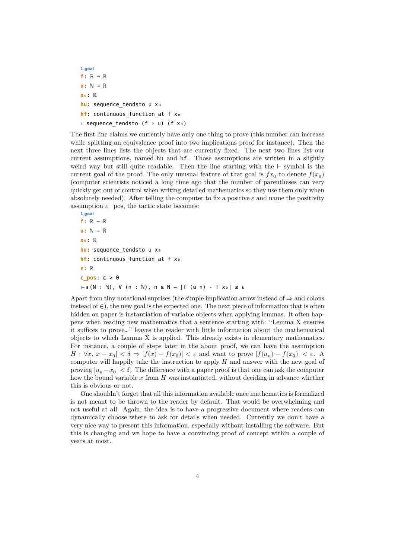```
1 goal
f: ℝ → ℝ
u: ℕ → ℝ
x₀: ℝ
hu: sequence_tendsto u x₀
hf: continuous function at f x<sub>o</sub>
⊢ sequence_tendsto (f ∘ u) (f x₀)
```
The first line claims we currently have only one thing to prove (this number can increase while splitting an equivalence proof into two implications proof for instance). Then the next three lines lists the objects that are currently fixed. The next two lines list our current assumptions, named hu and hf. Those assumptions are written in a slightly weird way but still quite readable. Then the line starting with the ⊢ symbol is the current goal of the proof. The only unusual feature of that goal is  $fx_0$  to denote  $f(x_0)$ (computer scientists noticed a long time ago that the number of parentheses can very quickly get out of control when writing detailed mathematics so they use them only when absolutely needed). After telling the computer to fix a positive  $\varepsilon$  and name the positivity assumption  $\varepsilon$  pos, the tactic state becomes:

```
1 goal
f: ℝ → ℝ
u: ℕ → ℝ
x₀: ℝ
hu: sequence_tendsto u x₀
hf: continuous function at f x<sub>o</sub>
ε: ℝ
ε_pos: ε > 0
⊢ ∃ (N : ℕ), ∀ (n : ℕ), n ≥ N → |f (u n) - f x₀| ≤ ε
```
Apart from tiny notational suprises (the simple implication arrow instead of  $\Rightarrow$  and colons instead of  $\in$ ), the new goal is the expected one. The next piece of information that is often hidden on paper is instantiation of variable objects when applying lemmas. It often happens when reading new mathematics that a sentence starting with: "Lemma X ensures it suffices to prove…" leaves the reader with little information about the mathematical objects to which Lemma X is applied. This already exists in elementary mathematics. For instance, a couple of steps later in the about proof, we can have the assumption  $H: \forall x, |x-x_0| < \delta \Rightarrow |f(x)-f(x_0)| < \varepsilon$  and want to prove  $|f(u_n)-f(x_0)| < \varepsilon$ . A computer will happily take the instruction to apply  $H$  and answer with the new goal of proving  $|u_n - x_0| < \delta$ . The difference with a paper proof is that one can ask the computer how the bound variable  $x$  from  $H$  was instantiated, without deciding in advance whether this is obvious or not.

One shouldn't forget that all this information available once mathematics is formalized is not meant to be thrown to the reader by default. That would be overwhelming and not useful at all. Again, the idea is to have a progressive document where readers can dynamically choose where to ask for details when needed. Currently we don't have a very nice way to present this information, especially without installing the software. But this is changing and we hope to have a convincing proof of concept within a couple of years at most.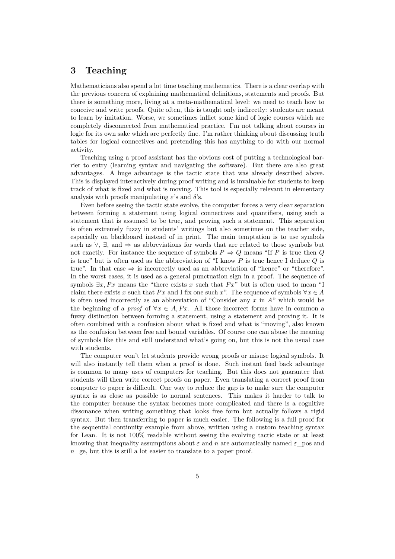### **3 Teaching**

Mathematicians also spend a lot time teaching mathematics. There is a clear overlap with the previous concern of explaining mathematical definitions, statements and proofs. But there is something more, living at a meta-mathematical level: we need to teach how to conceive and write proofs. Quite often, this is taught only indirectly: students are meant to learn by imitation. Worse, we sometimes inflict some kind of logic courses which are completely disconnected from mathematical practice. I'm not talking about courses in logic for its own sake which are perfectly fine. I'm rather thinking about discussing truth tables for logical connectives and pretending this has anything to do with our normal activity.

Teaching using a proof assistant has the obvious cost of putting a technological barrier to entry (learning syntax and navigating the software). But there are also great advantages. A huge advantage is the tactic state that was already described above. This is displayed interactively during proof writing and is invaluable for students to keep track of what is fixed and what is moving. This tool is especially relevant in elementary analysis with proofs manipulating  $\varepsilon$ 's and  $\delta$ 's.

Even before seeing the tactic state evolve, the computer forces a very clear separation between forming a statement using logical connectives and quantifiers, using such a statement that is assumed to be true, and proving such a statement. This separation is often extremely fuzzy in students' writings but also sometimes on the teacher side, especially on blackboard instead of in print. The main temptation is to use symbols such as  $\forall$ ,  $\exists$ , and  $\Rightarrow$  as abbreviations for words that are related to those symbols but not exactly. For instance the sequence of symbols  $P \Rightarrow Q$  means "If P is true then Q is true" but is often used as the abbreviation of "I know  $P$  is true hence I deduce  $Q$  is true". In that case  $\Rightarrow$  is incorrectly used as an abbreviation of "hence" or "therefore". In the worst cases, it is used as a general punctuation sign in a proof. The sequence of symbols  $\exists x, Px$  means the "there exists x such that  $Px$ " but is often used to mean "I claim there exists x such that  $Px$  and I fix one such x". The sequence of symbols  $\forall x \in A$ is often used incorrectly as an abbreviation of "Consider any  $x$  in  $A$ " which would be the beginning of a *proof* of  $\forall x \in A, Px$ . All those incorrect forms have in common a fuzzy distinction between forming a statement, using a statement and proving it. It is often combined with a confusion about what is fixed and what is "moving", also known as the confusion between free and bound variables. Of course one can abuse the meaning of symbols like this and still understand what's going on, but this is not the usual case with students.

The computer won't let students provide wrong proofs or misuse logical symbols. It will also instantly tell them when a proof is done. Such instant feed back advantage is common to many uses of computers for teaching. But this does not guarantee that students will then write correct proofs on paper. Even translating a correct proof from computer to paper is difficult. One way to reduce the gap is to make sure the computer syntax is as close as possible to normal sentences. This makes it harder to talk to the computer because the syntax becomes more complicated and there is a cognitive dissonance when writing something that looks free form but actually follows a rigid syntax. But then transferring to paper is much easier. The following is a full proof for the sequential continuity example from above, written using a custom teaching syntax for Lean. It is not 100% readable without seeing the evolving tactic state or at least knowing that inequality assumptions about  $\varepsilon$  and  $n$  are automatically named  $\varepsilon$  pos and  $n$  ge, but this is still a lot easier to translate to a paper proof.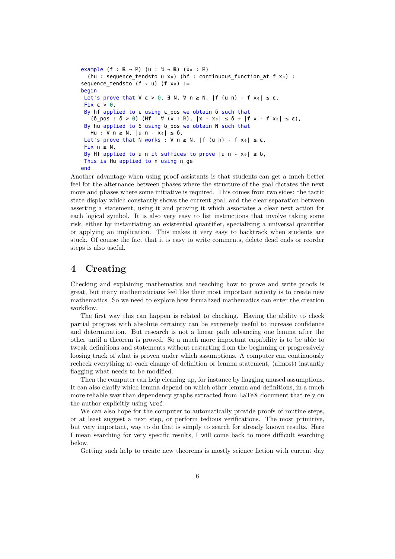```
example (f : \mathbb{R} \to \mathbb{R}) (u : \mathbb{N} \to \mathbb{R}) (x_0 : \mathbb{R})(hu : sequence tendsto u xo) (hf : continuous function at f xo) :
sequence_tendsto (f ∘ u) (f x<sub>0</sub>) :=
begin
 Let's prove that \forall ε > 0, \exists N, \forall n ≥ N, |f (u n) - f xo| ≤ ε,
 Fix \varepsilon > 0.
 By hf applied to ε using ε pos we obtain δ such that
     (δ_pos : δ > 0) (Hf : ∀ (x : ℝ), |x - x₀| ≤ δ → |f x - f x₀| ≤ ε),
  By hu applied to δ using δ_pos we obtain N such that
   Hu : \forall n \geq N, |u n - x_0| \leq \delta,
 Let's prove that N works : \forall n \ge N, |f (u n) - f x_0| \le \varepsilon,
 Fix n > N.
 By Hf applied to u n it suffices to prove |u - x<sub>0</sub>| \le 0,
  This is Hu applied to n using n_ge
end
```
Another advantage when using proof assistants is that students can get a much better feel for the alternance between phases where the structure of the goal dictates the next move and phases where some initiative is required. This comes from two sides: the tactic state display which constantly shows the current goal, and the clear separation between asserting a statement, using it and proving it which associates a clear next action for each logical symbol. It is also very easy to list instructions that involve taking some risk, either by instantiating an existential quantifier, specializing a universal quantifier or applying an implication. This makes it very easy to backtrack when students are stuck. Of course the fact that it is easy to write comments, delete dead ends or reorder steps is also useful.

#### **4 Creating**

Checking and explaining mathematics and teaching how to prove and write proofs is great, but many mathematicians feel like their most important activity is to create new mathematics. So we need to explore how formalized mathematics can enter the creation workflow.

The first way this can happen is related to checking. Having the ability to check partial progress with absolute certainty can be extremely useful to increase confidence and determination. But research is not a linear path advancing one lemma after the other until a theorem is proved. So a much more important capability is to be able to tweak definitions and statements without restarting from the beginning or progressively loosing track of what is proven under which assumptions. A computer can continuously recheck everything at each change of definition or lemma statement, (almost) instantly flagging what needs to be modified.

Then the computer can help cleaning up, for instance by flagging unused assumptions. It can also clarify which lemma depend on which other lemma and definitions, in a much more reliable way than dependency graphs extracted from LaTeX document that rely on the author explicitly using \ref.

We can also hope for the computer to automatically provide proofs of routine steps, or at least suggest a next step, or perform tedious verifications. The most primitive, but very important, way to do that is simply to search for already known results. Here I mean searching for very specific results, I will come back to more difficult searching below.

Getting such help to create new theorems is mostly science fiction with current day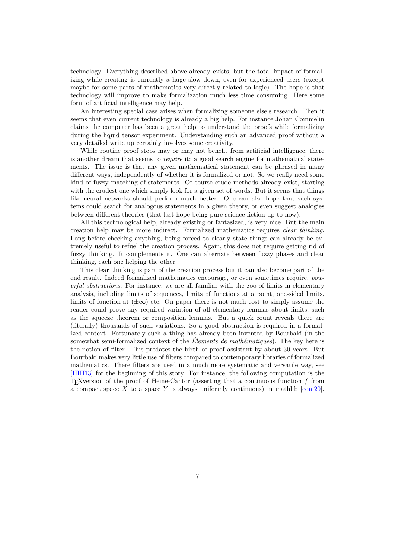<span id="page-6-0"></span>technology. Everything described above already exists, but the total impact of formalizing while creating is currently a huge slow down, even for experienced users (except maybe for some parts of mathematics very directly related to logic). The hope is that technology will improve to make formalization much less time consuming. Here some form of artificial intelligence may help.

An interesting special case arises when formalizing someone else's research. Then it seems that even current technology is already a big help. For instance Johan Commelin claims the computer has been a great help to understand the proofs while formalizing during the liquid tensor experiment. Understanding such an advanced proof without a very detailed write up certainly involves some creativity.

While routine proof steps may or may not benefit from artificial intelligence, there is another dream that seems to *require* it: a good search engine for mathematical statements. The issue is that any given mathematical statement can be phrased in many different ways, independently of whether it is formalized or not. So we really need some kind of fuzzy matching of statements. Of course crude methods already exist, starting with the crudest one which simply look for a given set of words. But it seems that things like neural networks should perform much better. One can also hope that such systems could search for analogous statements in a given theory, or even suggest analogies between different theories (that last hope being pure science-fiction up to now).

All this technological help, already existing or fantasized, is very nice. But the main creation help may be more indirect. Formalized mathematics requires *clear thinking*. Long before checking anything, being forced to clearly state things can already be extremely useful to refuel the creation process. Again, this does not require getting rid of fuzzy thinking. It complements it. One can alternate between fuzzy phases and clear thinking, each one helping the other.

This clear thinking is part of the creation process but it can also become part of the end result. Indeed formalized mathematics encourage, or even sometimes require, *powerful abstractions*. For instance, we are all familiar with the zoo of limits in elementary analysis, including limits of sequences, limits of functions at a point, one-sided limits, limits of function at  $(\pm \infty)$  etc. On paper there is not much cost to simply assume the reader could prove any required variation of all elementary lemmas about limits, such as the squeeze theorem or composition lemmas. But a quick count reveals there are (literally) thousands of such variations. So a good abstraction is required in a formalized context. Fortunately such a thing has already been invented by Bourbaki (in the somewhat semi-formalized context of the *Éléments de mathématiques*). The key here is the notion of filter. This predates the birth of proof assistant by about 30 years. But Bourbaki makes very little use of filters compared to contemporary libraries of formalized mathematics. There filters are used in a much more systematic and versatile way, see [HIH13] for the beginning of this story. For instance, the following computation is the T<sub>EX</sub>version of the proof of Heine-Cantor (asserting that a continuous function  $f$  from a compact space X to a space Y is always uniformly continuous) in mathlib  $[com20]$ ,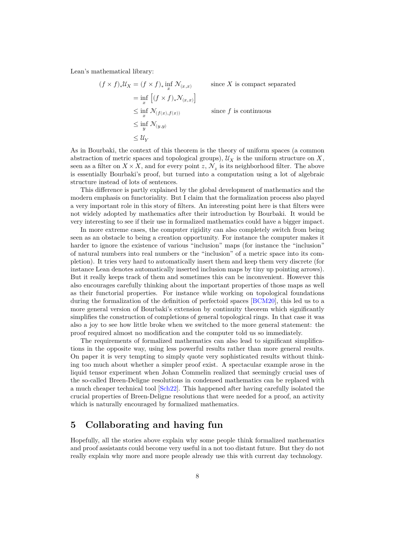<span id="page-7-0"></span>Lean's mathematical library:

$$
(f \times f)_* \mathcal{U}_X = (f \times f)_* \inf_x \mathcal{N}_{(x,x)} \qquad \text{ since } X \text{ is compact separated}
$$
  
\n
$$
= \inf_x \left[ (f \times f)_* \mathcal{N}_{(x,x)} \right]
$$
  
\n
$$
\leq \inf_x \mathcal{N}_{(f(x), f(x))} \qquad \text{since } f \text{ is continuous}
$$
  
\n
$$
\leq \inf_y \mathcal{N}_{(y,y)} \qquad \leq \mathcal{U}_Y
$$

As in Bourbaki, the context of this theorem is the theory of uniform spaces (a common abstraction of metric spaces and topological groups),  $\mathcal{U}_X$  is the uniform structure on X, seen as a filter on  $X \times X$ , and for every point  $z, \mathcal{N}_z$  is its neighborhood filter. The above is essentially Bourbaki's proof, but turned into a computation using a lot of algebraic structure instead of lots of sentences.

This difference is partly explained by the global development of mathematics and the modern emphasis on functoriality. But I claim that the formalization process also played a very important role in this story of filters. An interesting point here is that filters were not widely adopted by mathematics after their introduction by Bourbaki. It would be very interesting to see if their use in formalized mathematics could have a bigger impact.

In more extreme cases, the computer rigidity can also completely switch from being seen as an obstacle to being a creation opportunity. For instance the computer makes it harder to ignore the existence of various "inclusion" maps (for instance the "inclusion" of natural numbers into real numbers or the "inclusion" of a metric space into its completion). It tries very hard to automatically insert them and keep them very discrete (for instance Lean denotes automatically inserted inclusion maps by tiny up pointing arrows). But it really keeps track of them and sometimes this can be inconvenient. However this also encourages carefully thinking about the important properties of those maps as well as their functorial properties. For instance while working on topological foundations during the formalization of the definition of perfectoid spaces [BCM20], this led us to a more general version of Bourbaki's extension by continuity theorem which significantly simplifies the construction of completions of general topological rings. In that case it was also a joy to see how little broke when we switched to the more general statement: the proof required almost no modification and the computer told [us so imm](#page-8-3)ediately.

The requirements of formalized mathematics can also lead to significant simplifications in the opposite way, using less powerful results rather than more general results. On paper it is very tempting to simply quote very sophisticated results without thinking too much about whether a simpler proof exist. A spectacular example arose in the liquid tensor experiment when Johan Commelin realized that seemingly crucial uses of the so-called Breen-Deligne resolutions in condensed mathematics can be replaced with a much cheaper technical tool [Sch22]. This happened after having carefully isolated the crucial properties of Breen-Deligne resolutions that were needed for a proof, an activity which is naturally encouraged by formalized mathematics.

## **5 Collaborating a[nd h](#page-9-1)aving fun**

Hopefully, all the stories above explain why some people think formalized mathematics and proof assistants could become very useful in a not too distant future. But they do not really explain why more and more people already use this with current day technology.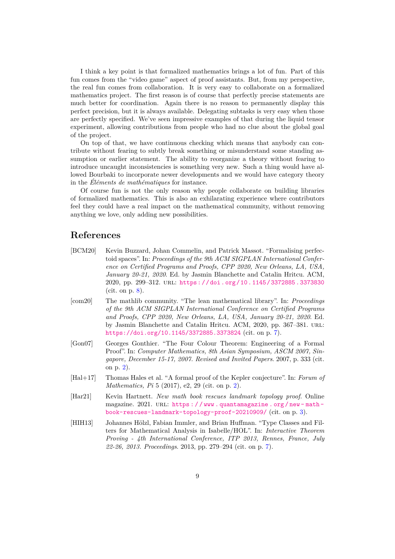I think a key point is that formalized mathematics brings a lot of fun. Part of this fun comes from the "video game" aspect of proof assistants. But, from my perspective, the real fun comes from collaboration. It is very easy to collaborate on a formalized mathematics project. The first reason is of course that perfectly precise statements are much better for coordination. Again there is no reason to permanently display this perfect precision, but it is always available. Delegating subtasks is very easy when those are perfectly specified. We've seen impressive examples of that during the liquid tensor experiment, allowing contributions from people who had no clue about the global goal of the project.

On top of that, we have continuous checking which means that anybody can contribute without fearing to subtly break something or misunderstand some standing assumption or earlier statement. The ability to reorganize a theory without fearing to introduce uncaught inconsistencies is something very new. Such a thing would have allowed Bourbaki to incorporate newer developments and we would have category theory in the *Éléments de mathématiques* for instance.

Of course fun is not the only reason why people collaborate on building libraries of formalized mathematics. This is also an exhilarating experience where contributors feel they could have a real impact on the mathematical community, without removing anything we love, only adding new possibilities.

#### **References**

- [BCM20] Kevin Buzzard, Johan Commelin, and Patrick Massot. "Formalising perfectoid spaces". In: *Proceedings of the 9th ACM SIGPLAN International Conference on Certified Programs and Proofs, CPP 2020, New Orleans, LA, USA, January 20-21, 2020*. Ed. by Jasmin Blanchette and Catalin Hritcu. ACM, 2020, pp. 299–312. url: https://doi.org/10.1145/3372885.3373830 (cit. on p. 8).
- <span id="page-8-3"></span>[com20] The mathlib community. "The lean mathematical library". In: *Proceedings of the 9th ACM SIGPLAN International Conference on Certified Programs and Proofs, CPP 2020, [New Orleans, LA, USA, January 20-21, 2020](https://doi.org/10.1145/3372885.3373830)*. Ed. by Jasmin [B](#page-7-0)lanchette and Catalin Hritcu. ACM, 2020, pp. 367-381. URL: https://doi.org/10.1145/3372885.3373824 (cit. on p. 7).
- [Gon07] Georges Gonthier. "The Four Colour Theorem: Engineering of a Formal Proof". In: *Computer Mathematics, 8th Asian Symposium, ASCM 2007, Sin[gapore, December 15-17, 2007. Revised and Invi](https://doi.org/10.1145/3372885.3373824)ted Papers*[. 2](#page-6-0)007, p. 333 (cit. on p. 2).
- <span id="page-8-0"></span>[Hal+17] Thomas Hales et al. "A formal proof of the Kepler conjecture". In: *Forum of Mathematics, Pi* 5 (2017), e2, 29 (cit. on p. 2).
- <span id="page-8-1"></span>[Har21] Kevin [H](#page-1-0)artnett. *New math book rescues landmark topology proof*. Online magazine. 2021. URL: https://www.quantamagazine.org/new-mathbook-rescues-landmark-topology-proof-20210909/ (cit. on p. 3).
- <span id="page-8-2"></span>[HIH13] Johannes Hölzl, Fabian Immler, and Brian [Hu](#page-1-0)ffman. "Type Classes and Filters for Mathematical Analysis in Isabelle/HOL". In: *Interactive Theorem Proving - 4th Interna[tional Conference, ITP 2013, Rennes, France, July](https://www.quantamagazine.org/new-math-book-rescues-landmark-topology-proof-20210909/) 22-26, 2013. Proceedings*[. 2013, pp. 279–294 \(cit. on p.](https://www.quantamagazine.org/new-math-book-rescues-landmark-topology-proof-20210909/) 7).